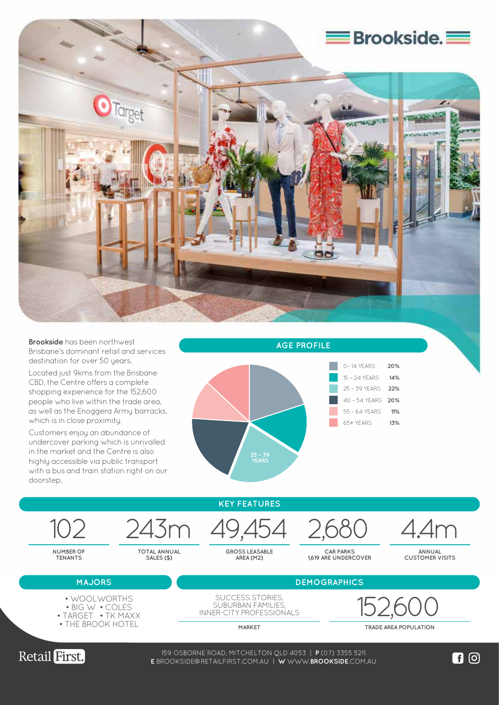

**Brookside** has been northwest Brisbane's dominant retail and services destination for over 50 years.

Located just 9kms from the Brisbane CBD, the Centre offers a complete shopping experience for the 152,600 people who live within the trade area, as well as the Enoggera Army barracks, which is in close proximity.

Customers enjoy an abundance of undercover parking which is unrivalled in the market and the Centre is also highly accessible via public transport with a bus and train station right on our doorstep.



**AGE PROFILE**



**KEY FEATURES**

**GROSS LEASABLE AREA (M2)**

**CAR PARKS 1,619 ARE UNDERCOVER**

102 243m 49,454 2,680 4.4m

**ANNUAL CUSTOMER VISITS**

**MAJORS DEMOGRAPHICS** 

**NUMBER OF TENANTS**

**TOTAL ANNUAL SALES (\$)**

- BIG W COLES
- TARGET TK MAXX
- THE BROOK HOTEL

SUCCESS STORIES, SUBURBAN FAMILIES INNER-CITY PROFESSIONALS 152,600 • WOOLWORTHS

**MARKET TRADE AREA POPULATION**



159 OSBORNE ROAD, MITCHELTON QLD 4053 | **P** (07) 3355 5211 WWW.**LOGANCENTRALPLAZA**.COM.AU **E** BROOKSIDE@RETAILFIRST.COM.AU | **W** WWW.**BROOKSIDE**.COM.AU